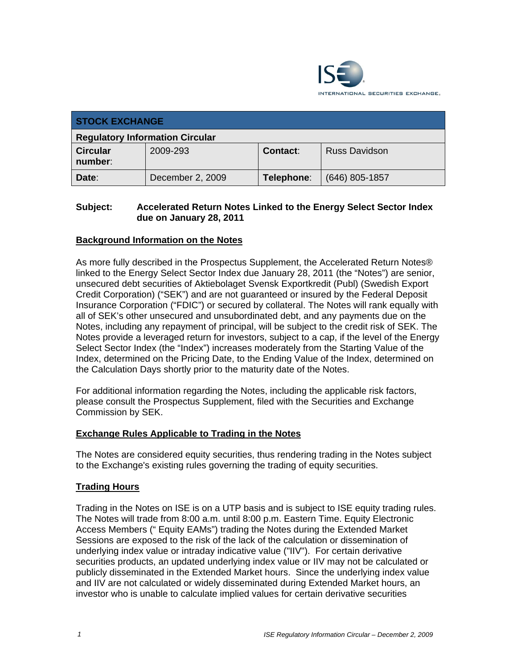

| <b>STOCK EXCHANGE</b>                  |                  |            |                  |  |  |
|----------------------------------------|------------------|------------|------------------|--|--|
| <b>Regulatory Information Circular</b> |                  |            |                  |  |  |
| <b>Circular</b><br>number:             | 2009-293         | Contact:   | Russ Davidson    |  |  |
| Date:                                  | December 2, 2009 | Telephone: | $(646)$ 805-1857 |  |  |

#### **Subject: Accelerated Return Notes Linked to the Energy Select Sector Index due on January 28, 2011**

### **Background Information on the Notes**

As more fully described in the Prospectus Supplement, the Accelerated Return Notes® linked to the Energy Select Sector Index due January 28, 2011 (the "Notes") are senior, unsecured debt securities of Aktiebolaget Svensk Exportkredit (Publ) (Swedish Export Credit Corporation) ("SEK") and are not guaranteed or insured by the Federal Deposit Insurance Corporation ("FDIC") or secured by collateral. The Notes will rank equally with all of SEK's other unsecured and unsubordinated debt, and any payments due on the Notes, including any repayment of principal, will be subject to the credit risk of SEK. The Notes provide a leveraged return for investors, subject to a cap, if the level of the Energy Select Sector Index (the "Index") increases moderately from the Starting Value of the Index, determined on the Pricing Date, to the Ending Value of the Index, determined on the Calculation Days shortly prior to the maturity date of the Notes.

For additional information regarding the Notes, including the applicable risk factors, please consult the Prospectus Supplement, filed with the Securities and Exchange Commission by SEK.

#### **Exchange Rules Applicable to Trading in the Notes**

The Notes are considered equity securities, thus rendering trading in the Notes subject to the Exchange's existing rules governing the trading of equity securities.

#### **Trading Hours**

Trading in the Notes on ISE is on a UTP basis and is subject to ISE equity trading rules. The Notes will trade from 8:00 a.m. until 8:00 p.m. Eastern Time. Equity Electronic Access Members (" Equity EAMs") trading the Notes during the Extended Market Sessions are exposed to the risk of the lack of the calculation or dissemination of underlying index value or intraday indicative value ("IIV"). For certain derivative securities products, an updated underlying index value or IIV may not be calculated or publicly disseminated in the Extended Market hours. Since the underlying index value and IIV are not calculated or widely disseminated during Extended Market hours, an investor who is unable to calculate implied values for certain derivative securities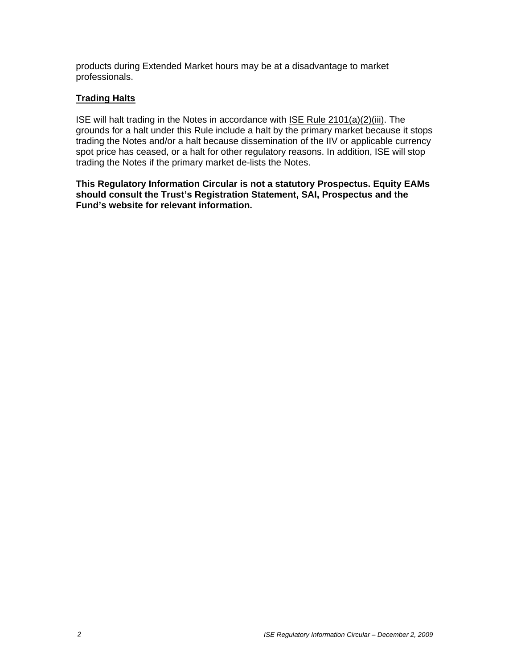products during Extended Market hours may be at a disadvantage to market professionals.

## **Trading Halts**

ISE will halt trading in the Notes in accordance with ISE Rule 2101(a)(2)(iii). The grounds for a halt under this Rule include a halt by the primary market because it stops trading the Notes and/or a halt because dissemination of the IIV or applicable currency spot price has ceased, or a halt for other regulatory reasons. In addition, ISE will stop trading the Notes if the primary market de-lists the Notes.

**This Regulatory Information Circular is not a statutory Prospectus. Equity EAMs should consult the Trust's Registration Statement, SAI, Prospectus and the Fund's website for relevant information.**